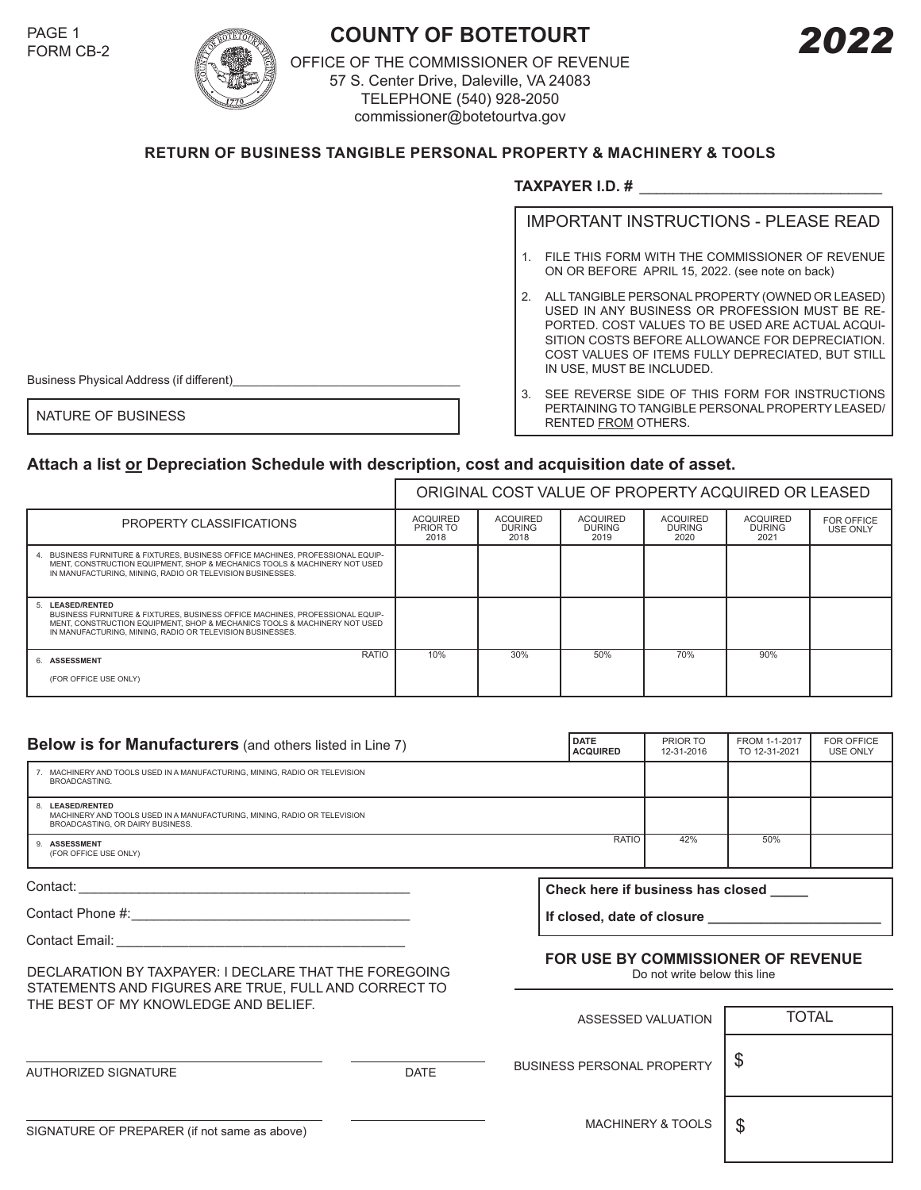

## PAGE 1<br>FORM CB-2 *COUNTY OF BOTETOURT*

OFFICE OF THE COMMISSIONER OF REVENUE 57 S. Center Drive, Daleville, VA 24083 TELEPHONE (540) 928-2050 commissioner@botetourtva.gov

## **RETURN OF BUSINESS TANGIBLE PERSONAL PROPERTY & MACHINERY & TOOLS**

## **TAXPAYER I.D. #** \_\_\_\_\_\_\_\_\_\_\_\_\_\_\_\_\_\_\_\_\_\_\_\_\_\_\_\_\_

IMPORTANT INSTRUCTIONS - PLEASE READ

- 1. FILE THIS FORM WITH THE COMMISSIONER OF REVENUE ON OR BEFORE APRIL 15, 2022. (see note on back)
- 2. ALL TANGIBLE PERSONAL PROPERTY (OWNED OR LEASED) USED IN ANY BUSINESS OR PROFESSION MUST BE RE-PORTED. COST VALUES TO BE USED ARE ACTUAL ACQUI-SITION COSTS BEFORE ALLOWANCE FOR DEPRECIATION. COST VALUES OF ITEMS FULLY DEPRECIATED, BUT STILL IN USE, MUST BE INCLUDED.
- 3. SEE REVERSE SIDE OF THIS FORM FOR INSTRUCTIONS PERTAINING TO TANGIBLE PERSONAL PROPERTY LEASED/ NATURE OF BUSINESS **NATURE OF BUSINESS**

Business Physical Address (if different)

## **Attach a list or Depreciation Schedule with description, cost and acquisition date of asset.**

|                                                                                                                                                                                                                                            | ORIGINAL COST VALUE OF PROPERTY ACQUIRED OR LEASED |                                          |                                          |                                          |                                          |                                      |
|--------------------------------------------------------------------------------------------------------------------------------------------------------------------------------------------------------------------------------------------|----------------------------------------------------|------------------------------------------|------------------------------------------|------------------------------------------|------------------------------------------|--------------------------------------|
| PROPERTY CLASSIFICATIONS                                                                                                                                                                                                                   | <b>ACQUIRED</b><br>PRIOR TO<br>2018                | <b>ACQUIRED</b><br><b>DURING</b><br>2018 | <b>ACQUIRED</b><br><b>DURING</b><br>2019 | <b>ACQUIRED</b><br><b>DURING</b><br>2020 | <b>ACQUIRED</b><br><b>DURING</b><br>2021 | <b>FOR OFFICE</b><br><b>USE ONLY</b> |
| 4. BUSINESS FURNITURE & FIXTURES, BUSINESS OFFICE MACHINES, PROFESSIONAL EQUIP-<br>MENT, CONSTRUCTION EQUIPMENT, SHOP & MECHANICS TOOLS & MACHINERY NOT USED<br>IN MANUFACTURING, MINING, RADIO OR TELEVISION BUSINESSES.                  |                                                    |                                          |                                          |                                          |                                          |                                      |
| 5. LEASED/RENTED<br>BUSINESS FURNITURE & FIXTURES, BUSINESS OFFICE MACHINES, PROFESSIONAL EQUIP-<br>MENT, CONSTRUCTION EQUIPMENT, SHOP & MECHANICS TOOLS & MACHINERY NOT USED<br>IN MANUFACTURING, MINING, RADIO OR TELEVISION BUSINESSES. |                                                    |                                          |                                          |                                          |                                          |                                      |
| RATIO<br>6. ASSESSMENT<br>(FOR OFFICE USE ONLY)                                                                                                                                                                                            | 10%                                                | 30%                                      | 50%                                      | 70%                                      | 90%                                      |                                      |

| <b>Below is for Manufacturers</b> (and others listed in Line 7)                                                                  | <b>DATE</b><br><b>ACQUIRED</b>                                     | PRIOR TO<br>12-31-2016       | FROM 1-1-2017<br>TO 12-31-2021 | <b>FOR OFFICE</b><br><b>USE ONLY</b> |  |
|----------------------------------------------------------------------------------------------------------------------------------|--------------------------------------------------------------------|------------------------------|--------------------------------|--------------------------------------|--|
| 7. MACHINERY AND TOOLS USED IN A MANUFACTURING, MINING, RADIO OR TELEVISION<br><b>BROADCASTING.</b>                              |                                                                    |                              |                                |                                      |  |
| 8. LEASED/RENTED<br>MACHINERY AND TOOLS USED IN A MANUFACTURING, MINING, RADIO OR TELEVISION<br>BROADCASTING, OR DAIRY BUSINESS. |                                                                    |                              |                                |                                      |  |
| 9. ASSESSMENT<br>(FOR OFFICE USE ONLY)                                                                                           | <b>RATIO</b>                                                       | 42%                          | 50%                            |                                      |  |
|                                                                                                                                  | Check here if business has closed _____                            |                              |                                |                                      |  |
|                                                                                                                                  | If closed, date of closure                                         |                              |                                |                                      |  |
|                                                                                                                                  |                                                                    |                              |                                |                                      |  |
| DECLARATION BY TAXPAYER: I DECLARE THAT THE FOREGOING<br>STATEMENTS AND FIGURES ARE TRUE, FULL AND CORRECT TO                    | FOR USE BY COMMISSIONER OF REVENUE<br>Do not write below this line |                              |                                |                                      |  |
| THE BEST OF MY KNOWLEDGE AND BELIEF.                                                                                             | ASSESSED VALUATION                                                 |                              |                                |                                      |  |
|                                                                                                                                  |                                                                    |                              | <b>TOTAL</b>                   |                                      |  |
| <b>DATE</b><br><b>AUTHORIZED SIGNATURE</b>                                                                                       | <b>BUSINESS PERSONAL PROPERTY</b>                                  |                              | \$                             |                                      |  |
| SIGNATURE OF PREPARER (if not same as above)                                                                                     |                                                                    | <b>MACHINERY &amp; TOOLS</b> | \$                             |                                      |  |